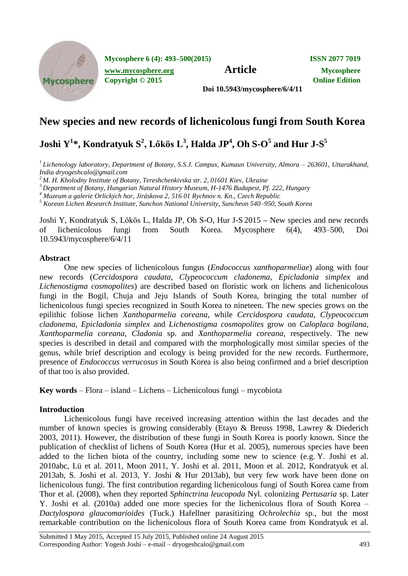

**Mycosphere 6 (4): 493–500(2015) ISSN 2077 7019**

**[www.mycosphere.org](http://www.mycosphere.org/) Article Mycosphere**<br> **Article Mycosphere**<br> **Convright** © 2015 **Copyright © 2015** 

**Doi 10.5943/mycosphere/6/4/11**

## **New species and new records of lichenicolous fungi from South Korea**

# ${\bf J}$ oshi  ${\bf Y}^{1*},$  Kondratyuk  ${\bf S}^{2},$  Lőkös  ${\bf L}^{3},$  Halda  ${\bf J}{\bf P}^{4},$  Oh  ${\bf S\text{-}O}^{5}$  and Hur  ${\bf J\text{-}S}^{5}$

*1 Lichenology laboratory, Department of Botany, S.S.J. Campus, Kumaun University, Almora – 263601, Uttarakhand, India dryogeshcalo@gmail.com* 

*<sup>2</sup> M. H. Kholodny Institute of Botany, Tereshchenkivska str. 2, 01601 Kiev, Ukraine*

*<sup>3</sup> Department of Botany, Hungarian Natural History Museum, H-1476 Budapest, Pf. 222, Hungary*

*<sup>4</sup> Muzeum a galerie Orlických hor, Jiráskova 2, 516 01 Rychnov n. Kn., Czech Republic*

*<sup>5</sup> Korean Lichen Research Institute, Sunchon National University, Suncheon 540–950, South Korea*

Joshi Y, Kondratyuk S, Lőkös L, Halda JP, Oh S-O, Hur J-S 2015 **–** New species and new records of lichenicolous fungi from South Korea. Mycosphere 6(4), 493–500, Doi 10.5943/mycosphere/6/4/11

## **Abstract**

One new species of lichenicolous fungus (*Endococcus xanthoparmeliae*) along with four new records (*Cercidospora caudata*, *Clypeococcum cladonema*, *Epicladonia simplex* and *Lichenostigma cosmopolites*) are described based on floristic work on lichens and lichenicolous fungi in the Bogil, Chuja and Jeju Islands of South Korea, bringing the total number of lichenicolous fungi species recognized in South Korea to nineteen. The new species grows on the epilithic foliose lichen *Xanthoparmelia coreana*, while *Cercidospora caudata*, *Clypeococcum cladonema*, *Epicladonia simplex* and *Lichenostigma cosmopolites* grow on *Caloplaca bogilana*, *Xanthoparmelia coreana*, *Cladonia* sp. and *Xanthoparmelia coreana*, respectively. The new species is described in detail and compared with the morphologically most similar species of the genus, while brief description and ecology is being provided for the new records. Furthermore, presence of *Endococcus verrucosus* in South Korea is also being confirmed and a brief description of that too is also provided.

**Key words** – Flora – island – Lichens – Lichenicolous fungi – mycobiota

## **Introduction**

Lichenicolous fungi have received increasing attention within the last decades and the number of known species is growing considerably (Etayo & Breuss 1998, Lawrey & Diederich 2003, 2011). However, the distribution of these fungi in South Korea is poorly known. Since the publication of checklist of lichens of South Korea (Hur et al. 2005), numerous species have been added to the lichen biota of the country, including some new to science (e.g. Y. Joshi et al. 2010abc, Lü et al. 2011, Moon 2011, Y. Joshi et al. 2011, Moon et al. 2012, Kondratyuk et al. 2013ab, S. Joshi et al. 2013, Y. Joshi & Hur 2013ab), but very few work have been done on lichenicolous fungi. The first contribution regarding lichenicolous fungi of South Korea came from Thor et al. (2008), when they reported *Sphinctrina leucopoda* Nyl. colonizing *Pertusaria* sp. Later Y. Joshi et al. (2010a) added one more species for the lichenicolous flora of South Korea – *Dactylospora glaucomarioides* (Tuck.) Hafellner parasitizing *Ochrolechia* sp., but the most remarkable contribution on the lichenicolous flora of South Korea came from Kondratyuk et al.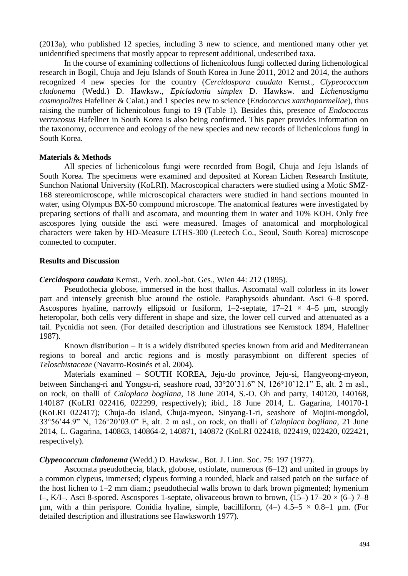(2013a), who published 12 species, including 3 new to science, and mentioned many other yet unidentified specimens that mostly appear to represent additional, undescribed taxa.

In the course of examining collections of lichenicolous fungi collected during lichenological research in Bogil, Chuja and Jeju Islands of South Korea in June 2011, 2012 and 2014, the authors recognized 4 new species for the country (*Cercidospora caudata* Kernst., *Clypeococcum cladonema* (Wedd.) D. Hawksw., *Epicladonia simplex* D. Hawksw. and *Lichenostigma cosmopolites* Hafellner & Calat.) and 1 species new to science (*Endococcus xanthoparmeliae*), thus raising the number of lichenicolous fungi to 19 (Table 1). Besides this, presence of *Endococcus verrucosus* Hafellner in South Korea is also being confirmed. This paper provides information on the taxonomy, occurrence and ecology of the new species and new records of lichenicolous fungi in South Korea.

#### **Materials & Methods**

All species of lichenicolous fungi were recorded from Bogil, Chuja and Jeju Islands of South Korea. The specimens were examined and deposited at Korean Lichen Research Institute, Sunchon National University (KoLRI). Macroscopical characters were studied using a Motic SMZ-168 stereomicroscope, while microscopical characters were studied in hand sections mounted in water, using Olympus BX-50 compound microscope. The anatomical features were investigated by preparing sections of thalli and ascomata, and mounting them in water and 10% KOH. Only free ascospores lying outside the asci were measured. Images of anatomical and morphological characters were taken by HD-Measure LTHS-300 (Leetech Co., Seoul, South Korea) microscope connected to computer.

#### **Results and Discussion**

*Cercidospora caudata* Kernst., Verh. zool.-bot. Ges., Wien 44: 212 (1895).

Pseudothecia globose, immersed in the host thallus. Ascomatal wall colorless in its lower part and intensely greenish blue around the ostiole. Paraphysoids abundant. Asci 6–8 spored. Ascospores hyaline, narrowly ellipsoid or fusiform,  $1-2$ -septate,  $17-21 \times 4-5$  µm, strongly heteropolar, both cells very different in shape and size, the lower cell curved and attenuated as a tail. Pycnidia not seen. (For detailed description and illustrations see Kernstock 1894, Hafellner 1987).

Known distribution – It is a widely distributed species known from arid and Mediterranean regions to boreal and arctic regions and is mostly parasymbiont on different species of *Teloschistaceae* (Navarro-Rosinés et al. 2004).

Materials examined – SOUTH KOREA, Jeju-do province, Jeju-si, Hangyeong-myeon, between Sinchang-ri and Yongsu-ri, seashore road, 33°20'31.6" N, 126°10'12.1" E, alt. 2 m asl., on rock, on thalli of *Caloplaca bogilana*, 18 June 2014, S.-O. Oh and party, 140120, 140168, 140187 (KoLRI 022416, 022299, respectively); ibid., 18 June 2014, L. Gagarina, 140170-1 (KoLRI 022417); Chuja-do island, Chuja-myeon, Sinyang-1-ri, seashore of Mojini-mongdol, 33°56'44.9" N, 126°20'03.0" E, alt. 2 m asl., on rock, on thalli of *Caloplaca bogilana*, 21 June 2014, L. Gagarina, 140863, 140864-2, 140871, 140872 (KoLRI 022418, 022419, 022420, 022421, respectively).

#### *Clypeococcum cladonema* (Wedd.) D. Hawksw., Bot. J. Linn. Soc. 75: 197 (1977).

Ascomata pseudothecia, black, globose, ostiolate, numerous (6–12) and united in groups by a common clypeus, immersed; clypeus forming a rounded, black and raised patch on the surface of the host lichen to 1–2 mm diam.; pseudothecial walls brown to dark brown pigmented; hymenium I–, K/I–. Asci 8-spored. Ascospores 1-septate, olivaceous brown to brown,  $(15-) 17-20 \times (6-) 7-8$ um, with a thin perispore. Conidia hyaline, simple, bacilliform,  $(4-)$  4.5–5  $\times$  0.8–1 µm. (For detailed description and illustrations see Hawksworth 1977).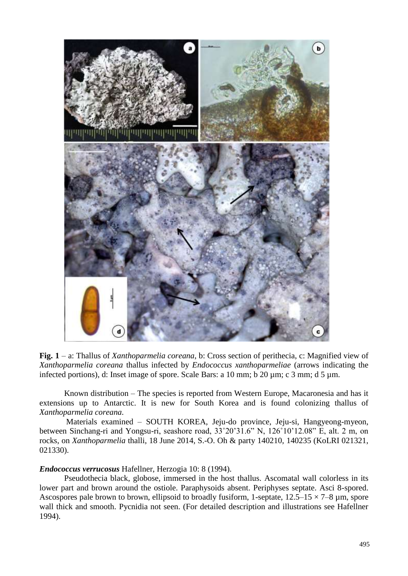

**Fig. 1** – a: Thallus of *Xanthoparmelia coreana*, b: Cross section of perithecia, c: Magnified view of *Xanthoparmelia coreana* thallus infected by *Endococcus xanthoparmeliae* (arrows indicating the infected portions), d: Inset image of spore. Scale Bars: a 10 mm; b 20 µm; c 3 mm; d 5 µm.

Known distribution – The species is reported from Western Europe, Macaronesia and has it extensions up to Antarctic. It is new for South Korea and is found colonizing thallus of *Xanthoparmelia coreana.*

Materials examined – SOUTH KOREA, Jeju-do province, Jeju-si, Hangyeong-myeon, between Sinchang-ri and Yongsu-ri, seashore road, 33˚20'31.6" N, 126˚10'12.08" E, alt. 2 m, on rocks, on *Xanthoparmelia* thalli, 18 June 2014, S.-O. Oh & party 140210, 140235 (KoLRI 021321, 021330).

## *Endococcus verrucosus* Hafellner, Herzogia 10: 8 (1994).

Pseudothecia black, globose, immersed in the host thallus. Ascomatal wall colorless in its lower part and brown around the ostiole. Paraphysoids absent. Periphyses septate. Asci 8-spored. Ascospores pale brown to brown, ellipsoid to broadly fusiform, 1-septate,  $12.5-15 \times 7-8$  µm, spore wall thick and smooth. Pycnidia not seen. (For detailed description and illustrations see Hafellner 1994).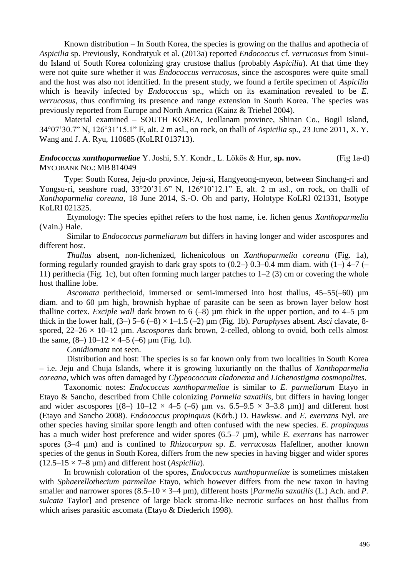Known distribution – In South Korea, the species is growing on the thallus and apothecia of *Aspicilia* sp. Previously, Kondratyuk et al. (2013a) reported *Endococcus* cf. *verrucosus* from Sinuido Island of South Korea colonizing gray crustose thallus (probably *Aspicilia*). At that time they were not quite sure whether it was *Endococcus verrucosus*, since the ascospores were quite small and the host was also not identified. In the present study, we found a fertile specimen of *Aspicilia* which is heavily infected by *Endococcus* sp., which on its examination revealed to be *E. verrucosus*, thus confirming its presence and range extension in South Korea*.* The species was previously reported from Europe and North America (Kainz & Triebel 2004).

Material examined – SOUTH KOREA, Jeollanam province, Shinan Co., Bogil Island, 3407'30.7" N, 12631'15.1" E, alt. 2 m asl., on rock, on thalli of *Aspicilia* sp., 23 June 2011, X. Y. Wang and J. A. Ryu, 110685 (KoLRI 013713).

## *Endococcus xanthoparmeliae* Y. Joshi, S.Y. Kondr., L. Lőkös & Hur, **sp. nov.** (Fig 1a-d) MYCOBANK NO.: MB 814049

Type: South Korea, Jeju-do province, Jeju-si, Hangyeong-myeon, between Sinchang-ri and Yongsu-ri, seashore road,  $33^{\circ}20'31.6''$  N,  $126^{\circ}10'12.1''$  E, alt. 2 m asl., on rock, on thalli of *Xanthoparmelia coreana*, 18 June 2014, S.-O. Oh and party, Holotype KoLRI 021331, Isotype KoLRI 021325.

Etymology: The species epithet refers to the host name, i.e. lichen genus *Xanthoparmelia*  (Vain.) Hale.

Similar to *Endococcus parmeliarum* but differs in having longer and wider ascospores and different host.

*Thallus* absent, non-lichenized, lichenicolous on *Xanthoparmelia coreana* (Fig. 1a), forming regularly rounded grayish to dark gray spots to  $(0.2-)$  0.3–0.4 mm diam. with  $(1-)$  4–7  $(-)$ 11) perithecia (Fig. 1c), but often forming much larger patches to  $1-2(3)$  cm or covering the whole host thalline lobe.

*Ascomata* perithecioid, immersed or semi-immersed into host thallus, 45–55(–60) µm diam. and to 60 µm high, brownish hyphae of parasite can be seen as brown layer below host thalline cortex. *Exciple wall* dark brown to  $6$  (-8)  $\mu$ m thick in the upper portion, and to 4–5  $\mu$ m thick in the lower half,  $(3-)$  5–6  $(-8) \times 1-1.5$   $(-2)$  µm (Fig. 1b). *Paraphyses* absent. *Asci* clavate, 8spored, 22–26 × 10–12 µm. *Ascospores* dark brown, 2-celled, oblong to ovoid, both cells almost the same,  $(8-) 10-12 \times 4-5 (-6) \mu m$  (Fig. 1d).

*Conidiomata* not seen.

Distribution and host: The species is so far known only from two localities in South Korea – i.e. Jeju and Chuja Islands, where it is growing luxuriantly on the thallus of *Xanthoparmelia coreana*, which was often damaged by *Clypeococcum cladonema* and *Lichenostigma cosmopolites*.

Taxonomic notes: *Endococcus xanthoparmeliae* is similar to *E. parmeliarum* Etayo in Etayo & Sancho, described from Chile colonizing *Parmelia saxatilis*, but differs in having longer and wider ascospores  $[(8-) 10-12 \times 4-5 (-6) \mu m \text{ vs. } 6.5-9.5 \times 3-3.8 \mu m)]$  and different host (Etayo and Sancho 2008). *Endococcus propinquus* (Körb.) D. Hawksw. and *E. exerrans* Nyl. are other species having similar spore length and often confused with the new species. *E. propinquus*  has a much wider host preference and wider spores (6.5–7 µm), while *E. exerrans* has narrower spores (3–4 µm) and is confined to *Rhizocarpon* sp. *E. verrucosus* Hafellner, another known species of the genus in South Korea, differs from the new species in having bigger and wider spores  $(12.5-15 \times 7-8 \text{ µm})$  and different host (*Aspicilia*).

In brownish coloration of the spores, *Endococcus xanthoparmeliae* is sometimes mistaken with *Sphaerellothecium parmeliae* Etayo, which however differs from the new taxon in having smaller and narrower spores  $(8.5-10 \times 3-4 \text{ µm})$ , different hosts [*Parmelia saxatilis* (L.) Ach. and *P*. *sulcata* Taylor] and presence of large black stroma-like necrotic surfaces on host thallus from which arises parasitic ascomata (Etayo & Diederich 1998).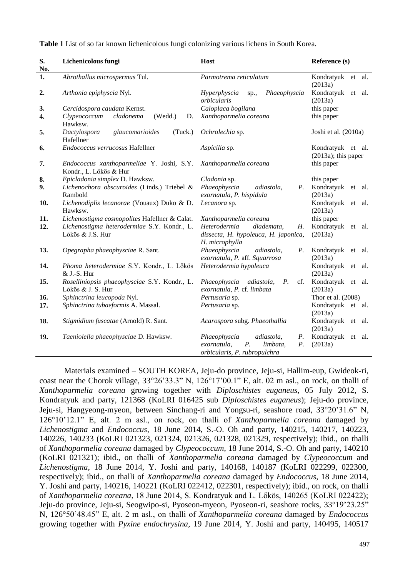**Table 1** List of so far known lichenicolous fungi colonizing various lichens in South Korea.

| $\overline{\mathbf{S}}$ .<br>No. | Lichenicolous fungi                                                 | Host                                                                                                                     | Reference (s)                               |
|----------------------------------|---------------------------------------------------------------------|--------------------------------------------------------------------------------------------------------------------------|---------------------------------------------|
| 1.                               | Abrothallus microspermus Tul.                                       | Parmotrema reticulatum                                                                                                   | Kondratyuk et al.<br>(2013a)                |
| 2.                               | Arthonia epiphyscia Nyl.                                            | Phaeophyscia<br>Hyperphyscia<br>sp.,<br>orbicularis                                                                      | Kondratyuk<br>et al.<br>(2013a)             |
| 3.                               | Cercidospora caudata Kernst.                                        | Caloplaca bogilana                                                                                                       | this paper                                  |
| 4.                               | Clypeococcum<br>cladonema<br>(Wedd.)<br>D.<br>Hawksw.               | Xanthoparmelia coreana                                                                                                   | this paper                                  |
| 5.                               | (Tuck.)<br>Dactylospora<br>glaucomarioides<br>Hafellner             | Ochrolechia sp.                                                                                                          | Joshi et al. (2010a)                        |
| 6.                               | Endococcus verrucosus Hafellner                                     | Aspicilia sp.                                                                                                            | Kondratyuk et al.<br>$(2013a)$ ; this paper |
| 7.                               | Endococcus xanthoparmeliae Y. Joshi, S.Y.<br>Kondr., L. Lőkös & Hur | Xanthoparmelia coreana                                                                                                   | this paper                                  |
| 8.                               | Epicladonia simplex D. Hawksw.                                      | Cladonia sp.                                                                                                             | this paper                                  |
| 9.                               | Lichenochora obscuroides (Linds.) Triebel &<br>Rambold              | Phaeophyscia<br>adiastola,<br>$P_{\cdot}$<br>exornatula, P. hispidula                                                    | Kondratyuk<br>et<br>al.<br>(2013a)          |
| 10.                              | Lichenodiplis lecanorae (Vouaux) Duko & D.<br>Hawksw.               | Lecanora sp.                                                                                                             | Kondratyuk et al.<br>(2013a)                |
| 11.                              | Lichenostigma cosmopolites Hafellner & Calat.                       | Xanthoparmelia coreana                                                                                                   | this paper                                  |
| 12.                              | Lichenostigma heterodermiae S.Y. Kondr., L.<br>Lőkös & J.S. Hur     | Heterodermia<br>diademata,<br>Н.<br>dissecta, H. hypoleuca, H. japonica,<br>H. microphylla                               | Kondratyuk<br>et al.<br>(2013a)             |
| 13.                              | Opegrapha phaeophysciae R. Sant.                                    | Phaeophyscia<br>adiastola,<br>$P_{\cdot}$<br>exornatula, P. aff. Squarrosa                                               | Kondratyuk et al.<br>(2013a)                |
| 14.                              | Phoma heterodermiae S.Y. Kondr., L. Lőkös<br>& J.-S. Hur            | Heterodermia hypoleuca                                                                                                   | Kondratyuk et al.<br>(2013a)                |
| 15.                              | Roselliniopsis phaeophysciae S.Y. Kondr., L.<br>Lőkös & J. S. Hur   | P.<br>cf.<br>Phaeophyscia<br>adiastola,<br>exornatula, P. cf. limbata                                                    | Kondratyuk et al.<br>(2013a)                |
| 16.                              | Sphinctrina leucopoda Nyl.                                          | Pertusaria sp.                                                                                                           | Thor et al. (2008)                          |
| 17.                              | Sphinctrina tubaeformis A. Massal.                                  | Pertusaria sp.                                                                                                           | Kondratyuk et al.<br>(2013a)                |
| 18.                              | Stigmidium fuscatae (Arnold) R. Sant.                               | Acarospora subg. Phaeothallia                                                                                            | Kondratyuk et<br>al.<br>(2013a)             |
| 19.                              | Taeniolella phaeophysciae D. Hawksw.                                | Phaeophyscia<br>adiastola,<br><i>P</i> .<br>$P_{\cdot}$<br>exornatula,<br>P.<br>limbata,<br>orbicularis, P. rubropulchra | Kondratyuk et al.<br>(2013a)                |

Materials examined – SOUTH KOREA, Jeju-do province, Jeju-si, Hallim-eup, Gwideok-ri, coast near the Chorok village,  $33^{\circ}26'33.3''$  N,  $126^{\circ}17'00.1''$  E, alt. 02 m asl., on rock, on thalli of *Xanthoparmelia coreana* growing together with *Diploschistes euganeus*, 05 July 2012, S. Kondratyuk and party, 121368 (KoLRI 016425 sub *Diploschistes euganeus*); Jeju-do province, Jeju-si, Hangyeong-myeon, between Sinchang-ri and Yongsu-ri, seashore road, 33°20'31.6" N, 12610'12.1" E, alt. 2 m asl., on rock, on thalli of *Xanthoparmelia coreana* damaged by *Lichenostigma* and *Endococcus*, 18 June 2014, S.-O. Oh and party, 140215, 140217, 140223, 140226, 140233 (KoLRI 021323, 021324, 021326, 021328, 021329, respectively); ibid., on thalli of *Xanthoparmelia coreana* damaged by *Clypeococcum*, 18 June 2014, S.-O. Oh and party, 140210 (KoLRI 021321); ibid., on thalli of *Xanthoparmelia coreana* damaged by *Clypeococcum* and *Lichenostigma*, 18 June 2014, Y. Joshi and party, 140168, 140187 (KoLRI 022299, 022300, respectively); ibid., on thalli of *Xanthoparmelia coreana* damaged by *Endococcus*, 18 June 2014, Y. Joshi and party, 140216, 140221 (KoLRI 022412, 022301, respectively); ibid., on rock, on thalli of *Xanthoparmelia coreana*, 18 June 2014, S. Kondratyuk and L. Lőkös, 140265 (KoLRI 022422); Jeju-do province, Jeju-si, Seogwipo-si, Pyoseon-myeon, Pyoseon-ri, seashore rocks, 33°19'23.25" N, 126°50'48.45" E, alt. 2 m asl., on thalli of *Xanthoparmelia coreana* damaged by *Endococcus*  growing together with *Pyxine endochrysina*, 19 June 2014, Y. Joshi and party, 140495, 140517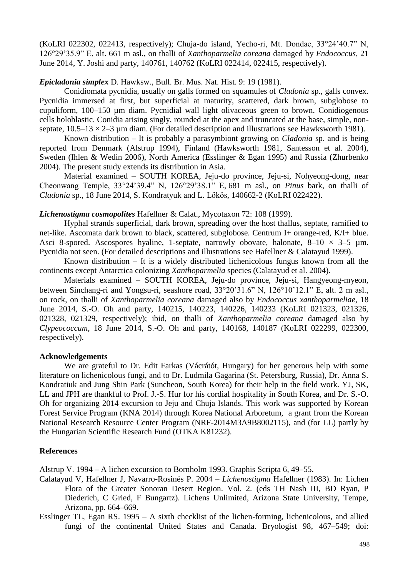(KoLRI 022302, 022413, respectively); Chuja-do island, Yecho-ri, Mt. Dondae, 33°24'40.7" N, 126°29'35.9" E, alt. 661 m asl., on thalli of *Xanthoparmelia coreana* damaged by *Endococcus*, 21 June 2014, Y. Joshi and party, 140761, 140762 (KoLRI 022414, 022415, respectively).

## *Epicladonia simplex* D. Hawksw., Bull. Br. Mus. Nat. Hist. 9: 19 (1981).

Conidiomata pycnidia, usually on galls formed on squamules of *Cladonia* sp., galls convex. Pycnidia immersed at first, but superficial at maturity, scattered, dark brown, subglobose to cupuliform, 100–150 µm diam. Pycnidial wall light olivaceous green to brown. Conidiogenous cells holoblastic. Conidia arising singly, rounded at the apex and truncated at the base, simple, nonseptate,  $10.5-13 \times 2-3$  µm diam. (For detailed description and illustrations see Hawksworth 1981).

Known distribution – It is probably a parasymbiont growing on *Cladonia* sp. and is being reported from Denmark (Alstrup 1994), Finland (Hawksworth 1981, Santesson et al. 2004), Sweden (Ihlen & Wedin 2006), North America (Esslinger & Egan 1995) and Russia (Zhurbenko 2004). The present study extends its distribution in Asia.

Material examined – SOUTH KOREA, Jeju-do province, Jeju-si, Nohyeong-dong, near Cheonwang Temple, 33°24'39.4" N, 126°29'38.1" E, 681 m asl., on *Pinus* bark, on thalli of *Cladonia* sp., 18 June 2014, S. Kondratyuk and L. Lőkös, 140662-2 (KoLRI 022422).

#### *Lichenostigma cosmopolites* Hafellner & Calat., Mycotaxon 72: 108 (1999).

Hyphal strands superficial, dark brown, spreading over the host thallus, septate, ramified to net-like. Ascomata dark brown to black, scattered, subglobose. Centrum I+ orange-red, K/I+ blue. Asci 8-spored. Ascospores hyaline, 1-septate, narrowly obovate, halonate,  $8-10 \times 3-5$  µm. Pycnidia not seen. (For detailed descriptions and illustrations see Hafellner & Calatayud 1999).

Known distribution – It is a widely distributed lichenicolous fungus known from all the continents except Antarctica colonizing *Xanthoparmelia* species (Calatayud et al. 2004).

Materials examined – SOUTH KOREA, Jeju-do province, Jeju-si, Hangyeong-myeon, between Sinchang-ri and Yongsu-ri, seashore road,  $33^{\circ}20'31.6''$  N,  $126^{\circ}10'12.1''$  E, alt. 2 m asl., on rock, on thalli of *Xanthoparmelia coreana* damaged also by *Endococcus xanthoparmeliae*, 18 June 2014, S.-O. Oh and party, 140215, 140223, 140226, 140233 (KoLRI 021323, 021326, 021328, 021329, respectively); ibid, on thalli of *Xanthoparmelia coreana* damaged also by *Clypeococcum*, 18 June 2014, S.-O. Oh and party, 140168, 140187 (KoLRI 022299, 022300, respectively).

#### **Acknowledgements**

We are grateful to Dr. Edit Farkas (Vácrátót, Hungary) for her generous help with some literature on lichenicolous fungi, and to Dr. Ludmila Gagarina (St. Petersburg, Russia), Dr. Anna S. Kondratiuk and Jung Shin Park (Suncheon, South Korea) for their help in the field work. YJ, SK, LL and JPH are thankful to Prof. J.-S. Hur for his cordial hospitality in South Korea, and Dr. S.-O. Oh for organizing 2014 excursion to Jeju and Chuja Islands. This work was supported by Korean Forest Service Program (KNA 2014) through Korea National Arboretum, a grant from the Korean National Research Resource Center Program (NRF-2014M3A9B8002115), and (for LL) partly by the Hungarian Scientific Research Fund (OTKA K81232).

#### **References**

Alstrup V. 1994 – A lichen excursion to Bornholm 1993. Graphis Scripta 6, 49–55.

- Calatayud V, Hafellner J, Navarro-Rosinés P. 2004 *Lichenostigma* Hafellner (1983). In: Lichen Flora of the Greater Sonoran Desert Region. Vol. 2*.* (eds TH Nash III, BD Ryan, P Diederich, C Gried, F Bungartz). Lichens Unlimited, Arizona State University, Tempe, Arizona, pp. 664–669.
- Esslinger TL, Egan RS. 1995 A sixth checklist of the lichen-forming, lichenicolous, and allied fungi of the continental United States and Canada. Bryologist 98, 467–549; doi: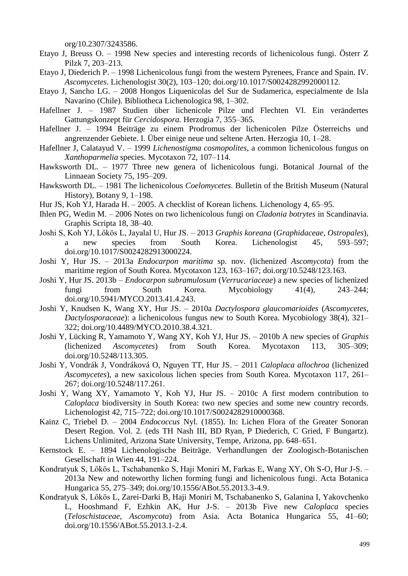org/10.2307/3243586.

- Etayo J, Breuss O. 1998 New species and interesting records of lichenicolous fungi. Österr Z Pilzk 7, 203–213.
- Etayo J, Diederich P. 1998 Lichenicolous fungi from the western Pyrenees, France and Spain. IV. *Ascomycetes*. Lichenologist 30(2), 103–120; doi.org/10.1017/S0024282992000112.
- Etayo J, Sancho LG. 2008 Hongos Liquenicolas del Sur de Sudamerica, especialmente de Isla Navarino (Chile). Bibliotheca Lichenologica 98, 1–302.
- Hafellner J. 1987 Studien über lichenicole Pilze und Flechten VI. Ein verändertes Gattungskonzept für *Cercidospora.* Herzogia 7, 355–365.
- Hafellner J. 1994 Beiträge zu einem Prodromus der lichenicolen Pilze Österreichs und angrenzender Gebiete. I. Über einige neue und seltene Arten. Herzogia 10, 1–28.
- Hafellner J, Calatayud V. 1999 *Lichenostigma cosmopolites*, a common lichenicolous fungus on *Xanthoparmelia* species. Mycotaxon 72, 107–114.
- Hawksworth DL. 1977 Three new genera of lichenicolous fungi. Botanical Journal of the Linnaean Society 75, 195–209.
- Hawksworth DL. 1981 The lichenicolous *Coelomycetes*. Bulletin of the British Museum (Natural History), Botany 9, 1–198.
- Hur JS, Koh YJ, Harada H. 2005. A checklist of Korean lichens. Lichenology 4, 65–95.
- Ihlen PG, Wedin M. 2006 Notes on two lichenicolous fungi on *Cladonia botrytes* in Scandinavia. Graphis Scripta 18, 38–40.
- Joshi S, Koh YJ, Lőkös L, Jayalal U, Hur JS. 2013 *Graphis koreana* (*Graphidaceae*, *Ostropales*), a new species from South Korea. Lichenologist 45, 593–597; doi.org/10.1017/S0024282913000224.
- Joshi Y, Hur JS. 2013a *Endocarpon maritima* sp. nov. (lichenized *Ascomycota*) from the maritime region of South Korea. Mycotaxon 123, 163–167; doi.org/10.5248/123.163.
- Joshi Y, Hur JS. 2013b *Endocarpon subramulosum* (*Verrucariaceae*) a new species of lichenized fungi from South Korea. Mycobiology 41(4), 243–244; doi.org/10.5941/MYCO.2013.41.4.243.
- Joshi Y, Knudsen K, Wang XY, Hur JS. 2010a *Dactylospora glaucomarioides* (*Ascomycetes*, *Dactylosporaceae*): a lichenicolous fungus new to South Korea. Mycobiology 38(4), 321– 322; doi.org/10.4489/MYCO.2010.38.4.321.
- Joshi Y, Lücking R, Yamamoto Y, Wang XY, Koh YJ, Hur JS. 2010b A new species of *Graphis*  (lichenized *Ascomycetes*) from South Korea. Mycotaxon 113, 305–309; doi.org/10.5248/113.305.
- Joshi Y, Vondrák J, Vondráková O, Nguyen TT, Hur JS. 2011 *Caloplaca allochroa* (lichenized *Ascomycetes*), a new saxicolous lichen species from South Korea. Mycotaxon 117, 261– 267; doi.org/10.5248/117.261.
- Joshi Y, Wang XY, Yamamoto Y, Koh YJ, Hur JS. 2010c A first modern contribution to *Caloplaca* biodiversity in South Korea: two new species and some new country records. Lichenologist 42, 715–722; doi.org/10.1017/S0024282910000368.
- Kainz C, Triebel D. 2004 *Endococcus* Nyl. (1855). In: Lichen Flora of the Greater Sonoran Desert Region. Vol. 2*.* (eds TH Nash III, BD Ryan, P Diederich, C Gried, F Bungartz). Lichens Unlimited, Arizona State University, Tempe, Arizona, pp. 648–651.
- Kernstock E. 1894 Lichenologische Beiträge. Verhandlungen der Zoologisch-Botanischen Gesellschaft in Wien 44, 191–224.
- Kondratyuk S, Lőkös L, Tschabanenko S, Haji Moniri M, Farkas E, Wang XY, Oh S-O, Hur J-S. 2013a New and noteworthy lichen forming fungi and lichenicolous fungi. Acta Botanica Hungarica 55, 275–349; doi.org/10.1556/ABot.55.2013.3-4.9.
- Kondratyuk S, Lőkös L, Zarei-Darki B, Haji Moniri M, Tschabanenko S, Galanina I, Yakovchenko L, Hooshmand F, Ezhkin AK, Hur J-S. – 2013b Five new *Caloplaca* species (*Teloschistaceae*, *Ascomycota*) from Asia. Acta Botanica Hungarica 55, 41–60; doi.org/10.1556/ABot.55.2013.1-2.4.